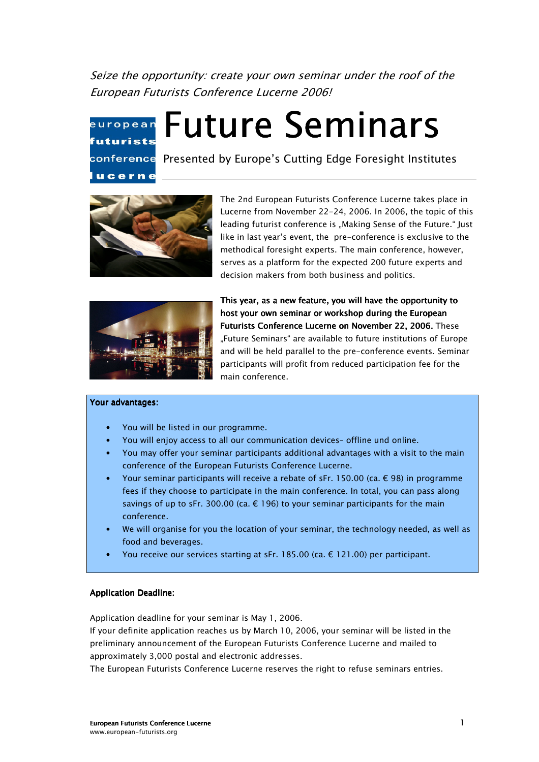Seize the opportunity: create your own seminar under the roof of the European Futurists Conference Lucerne 2006!

# european futurists ucerne

conference Presented by Europe's Cutting Edge Foresight Institutes

**Future Seminars** 



The 2nd European Futurists Conference Lucerne takes place in Lucerne from November 22-24, 2006. In 2006, the topic of this leading futurist conference is "Making Sense of the Future." Just like in last year's event, the pre-conference is exclusive to the methodical foresight experts. The main conference, however, serves as a platform for the expected 200 future experts and decision makers from both business and politics.



This year, as a new feature, you will have the opportunity to host your own seminar or workshop during the European Futurists Conference Lucerne on November 22, 2006. These "Future Seminars" are available to future institutions of Europe and will be held parallel to the pre-conference events. Seminar participants will profit from reduced participation fee for the main conference.

#### Your advantages:

- You will be listed in our programme.
- You will enjoy access to all our communication devices– offline und online.
- You may offer your seminar participants additional advantages with a visit to the main conference of the European Futurists Conference Lucerne.
- Your seminar participants will receive a rebate of sFr. 150.00 (ca.  $\epsilon$  98) in programme fees if they choose to participate in the main conference. In total, you can pass along savings of up to sFr. 300.00 (ca.  $\epsilon$  196) to your seminar participants for the main conference.
- We will organise for you the location of your seminar, the technology needed, as well as food and beverages.
- You receive our services starting at sFr. 185.00 (ca.  $\epsilon$  121.00) per participant.

#### Application Deadline:

Application deadline for your seminar is May 1, 2006.

If your definite application reaches us by March 10, 2006, your seminar will be listed in the preliminary announcement of the European Futurists Conference Lucerne and mailed to approximately 3,000 postal and electronic addresses.

The European Futurists Conference Lucerne reserves the right to refuse seminars entries.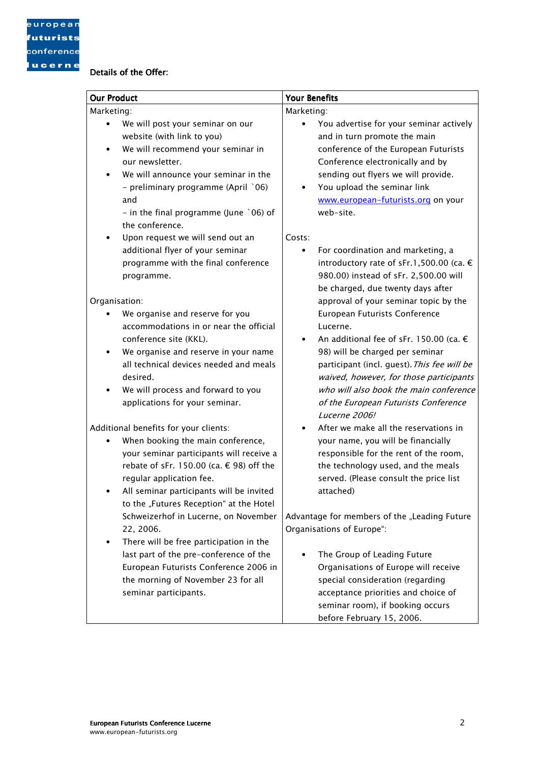# Details of the Offer:

| <b>Our Product</b> |                                                                                                                                                                                                                                                                                    | <b>Your Benefits</b> |                                                                                                                                                                                                                                                                                                                      |  |
|--------------------|------------------------------------------------------------------------------------------------------------------------------------------------------------------------------------------------------------------------------------------------------------------------------------|----------------------|----------------------------------------------------------------------------------------------------------------------------------------------------------------------------------------------------------------------------------------------------------------------------------------------------------------------|--|
| Marketing:         |                                                                                                                                                                                                                                                                                    | Marketing:           |                                                                                                                                                                                                                                                                                                                      |  |
| $\bullet$          | We will post your seminar on our<br>website (with link to you)<br>We will recommend your seminar in<br>our newsletter.<br>We will announce your seminar in the<br>- preliminary programme (April `06)<br>and<br>- in the final programme (June $\degree$ 06) of<br>the conference. | $\bullet$            | You advertise for your seminar actively<br>and in turn promote the main<br>conference of the European Futurists<br>Conference electronically and by<br>sending out flyers we will provide.<br>You upload the seminar link<br>www.european-futurists.org on your<br>web-site.                                         |  |
|                    | Upon request we will send out an<br>additional flyer of your seminar<br>programme with the final conference<br>programme.                                                                                                                                                          | Costs:<br>$\bullet$  | For coordination and marketing, a<br>introductory rate of sFr.1,500.00 (ca. €<br>980.00) instead of sFr. 2,500.00 will<br>be charged, due twenty days after                                                                                                                                                          |  |
| Organisation:      |                                                                                                                                                                                                                                                                                    |                      | approval of your seminar topic by the                                                                                                                                                                                                                                                                                |  |
| ٠                  | We organise and reserve for you<br>accommodations in or near the official<br>conference site (KKL).<br>We organise and reserve in your name<br>all technical devices needed and meals<br>desired.<br>We will process and forward to you<br>applications for your seminar.          |                      | European Futurists Conference<br>Lucerne.<br>An additional fee of sFr. 150.00 (ca. €<br>98) will be charged per seminar<br>participant (incl. guest). This fee will be<br>waived, however, for those participants<br>who will also book the main conference<br>of the European Futurists Conference<br>Lucerne 2006! |  |
|                    | Additional benefits for your clients:                                                                                                                                                                                                                                              |                      | After we make all the reservations in                                                                                                                                                                                                                                                                                |  |
|                    | When booking the main conference,<br>your seminar participants will receive a<br>rebate of sFr. 150.00 (ca. € 98) off the<br>regular application fee.<br>All seminar participants will be invited<br>to the "Futures Reception" at the Hotel                                       |                      | your name, you will be financially<br>responsible for the rent of the room,<br>the technology used, and the meals<br>served. (Please consult the price list<br>attached)                                                                                                                                             |  |
|                    | Schweizerhof in Lucerne, on November                                                                                                                                                                                                                                               |                      | Advantage for members of the "Leading Future                                                                                                                                                                                                                                                                         |  |
|                    | 22, 2006.                                                                                                                                                                                                                                                                          |                      | Organisations of Europe":                                                                                                                                                                                                                                                                                            |  |
| ٠                  | There will be free participation in the<br>last part of the pre-conference of the<br>European Futurists Conference 2006 in<br>the morning of November 23 for all<br>seminar participants.                                                                                          |                      | The Group of Leading Future<br>Organisations of Europe will receive<br>special consideration (regarding<br>acceptance priorities and choice of<br>seminar room), if booking occurs                                                                                                                                   |  |

before February 15, 2006.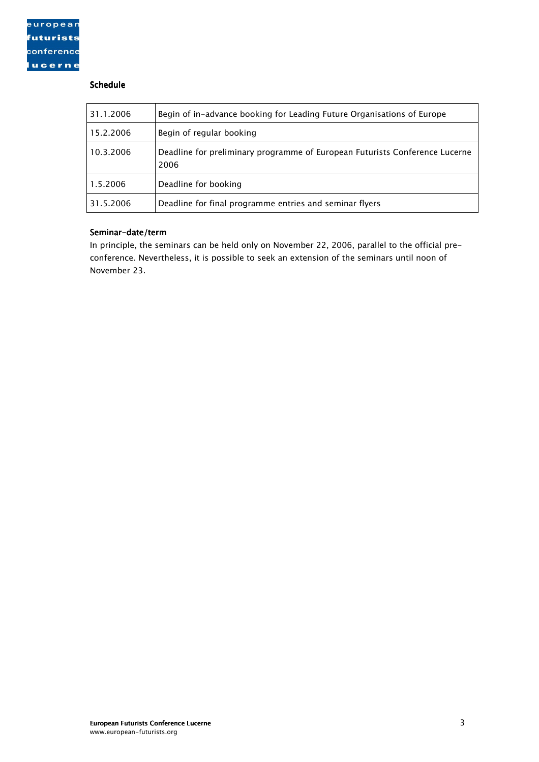# Schedule

| 31.1.2006 | Begin of in-advance booking for Leading Future Organisations of Europe              |
|-----------|-------------------------------------------------------------------------------------|
| 15.2.2006 | Begin of regular booking                                                            |
| 10.3.2006 | Deadline for preliminary programme of European Futurists Conference Lucerne<br>2006 |
| 1.5.2006  | Deadline for booking                                                                |
| 31.5.2006 | Deadline for final programme entries and seminar flyers                             |

#### Seminar-date/term

In principle, the seminars can be held only on November 22, 2006, parallel to the official preconference. Nevertheless, it is possible to seek an extension of the seminars until noon of November 23.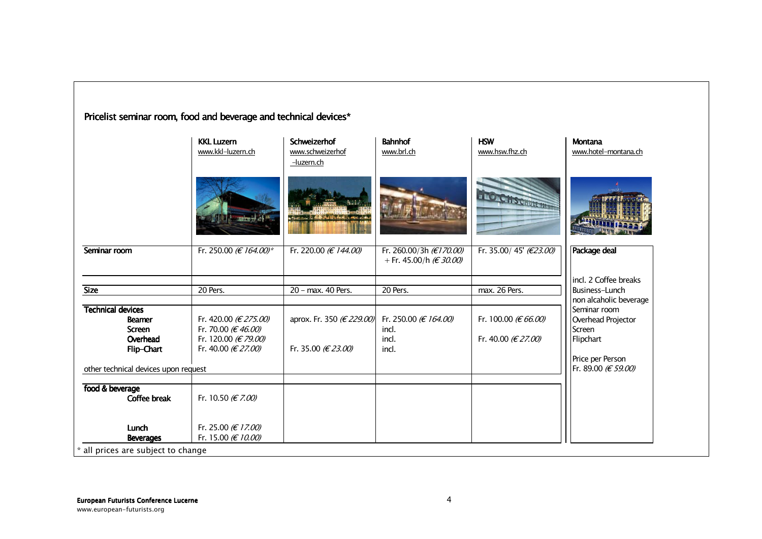|                                                            | <b>KKL Luzern</b><br>www.kkl-luzern.ch      | <b>Schweizerhof</b><br>www.schweizerhof<br>-luzern.ch | <b>Bahnhof</b><br>www.brl.ch                        | <b>HSW</b><br>www.hsw.fhz.ch      | Montana<br>www.hotel-montana.ch              |
|------------------------------------------------------------|---------------------------------------------|-------------------------------------------------------|-----------------------------------------------------|-----------------------------------|----------------------------------------------|
|                                                            | $-$ uniquely $\Delta \xi$ in .              | mort out in this distinguished  which is              |                                                     | <b>ATO CHSCHUTCHER</b>            |                                              |
| Seminar room                                               | Fr. 250.00 ( $E$ 164.00)*                   | Fr. 220.00 (€ 144.00)                                 | Fr. 260.00/3h (€170.00)<br>+ Fr. 45.00/h $(E30.00)$ | Fr. 35.00/45' ( $\epsilon$ 23.00) | Package deal                                 |
|                                                            |                                             |                                                       |                                                     |                                   | incl. 2 Coffee breaks                        |
| <b>Size</b>                                                | 20 Pers.                                    | 20 - max. 40 Pers.                                    | 20 Pers.                                            | max. 26 Pers.                     | Business-Lunch                               |
|                                                            |                                             |                                                       |                                                     |                                   | non alcaholic beverage                       |
| <b>Technical devices</b><br><b>Beamer</b><br><b>Screen</b> | Fr. 420.00 (€ 275.00)<br>Fr. 70.00 (€46.00) | aprox. Fr. 350 (€ 229.00)                             | Fr. 250.00 (€ 164.00)<br>incl.                      | Fr. 100.00 (€ 66.00)              | Seminar room<br>Overhead Projector<br>Screen |
| Overhead<br>Flip-Chart                                     | Fr. 120.00 (€ 79.00)<br>Fr. 40.00 (€ 27.00) | Fr. 35.00 (€ 23.00)                                   | incl.<br>incl.                                      | Fr. 40.00 (€ 27.00)               | Flipchart                                    |
| other technical devices upon request                       |                                             |                                                       |                                                     |                                   | Price per Person<br>Fr. 89.00 (€ 59.00)      |
|                                                            |                                             |                                                       |                                                     |                                   |                                              |
| food & beverage<br><b>Coffee break</b>                     | Fr. 10.50 (€ 7.00)                          |                                                       |                                                     |                                   |                                              |
| Lunch<br><b>Beverages</b>                                  | Fr. 25.00 (€ 17.00)<br>Fr. 15.00 (€ 10.00)  |                                                       |                                                     |                                   |                                              |

Pricelist seminar room, food and beverage and technical devices\*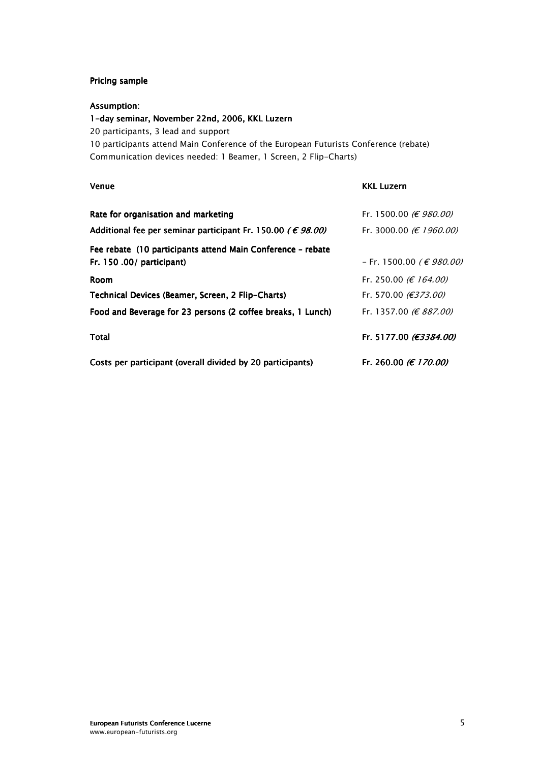# Pricing sample

#### Assumption:

### 1-day seminar, November 22nd, 2006, KKL Luzern

20 participants, 3 lead and support

10 participants attend Main Conference of the European Futurists Conference (rebate) Communication devices needed: 1 Beamer, 1 Screen, 2 Flip-Charts)

| Venue                                                                                    | <b>KKL Luzern</b>               |
|------------------------------------------------------------------------------------------|---------------------------------|
| Rate for organisation and marketing                                                      | Fr. 1500.00 ( $\in$ 980.00)     |
| Additional fee per seminar participant Fr. 150.00 ( $\epsilon$ 98.00)                    | Fr. 3000.00 ( $\in$ 1960.00)    |
| Fee rebate (10 participants attend Main Conference - rebate<br>Fr. 150 .00/ participant) | − Fr. 1500.00 (€ 980.00)        |
| <b>Room</b>                                                                              | Fr. 250.00 ( $\in$ 164.00)      |
| Technical Devices (Beamer, Screen, 2 Flip-Charts)                                        | Fr. 570.00 ( $\epsilon$ 373.00) |
| Food and Beverage for 23 persons (2 coffee breaks, 1 Lunch)                              | Fr. 1357.00 ( $\in$ 887.00)     |
| Total                                                                                    | Fr. 5177.00 (€3384.00)          |
| Costs per participant (overall divided by 20 participants)                               | Fr. 260.00 <i>(€ 170.00)</i>    |